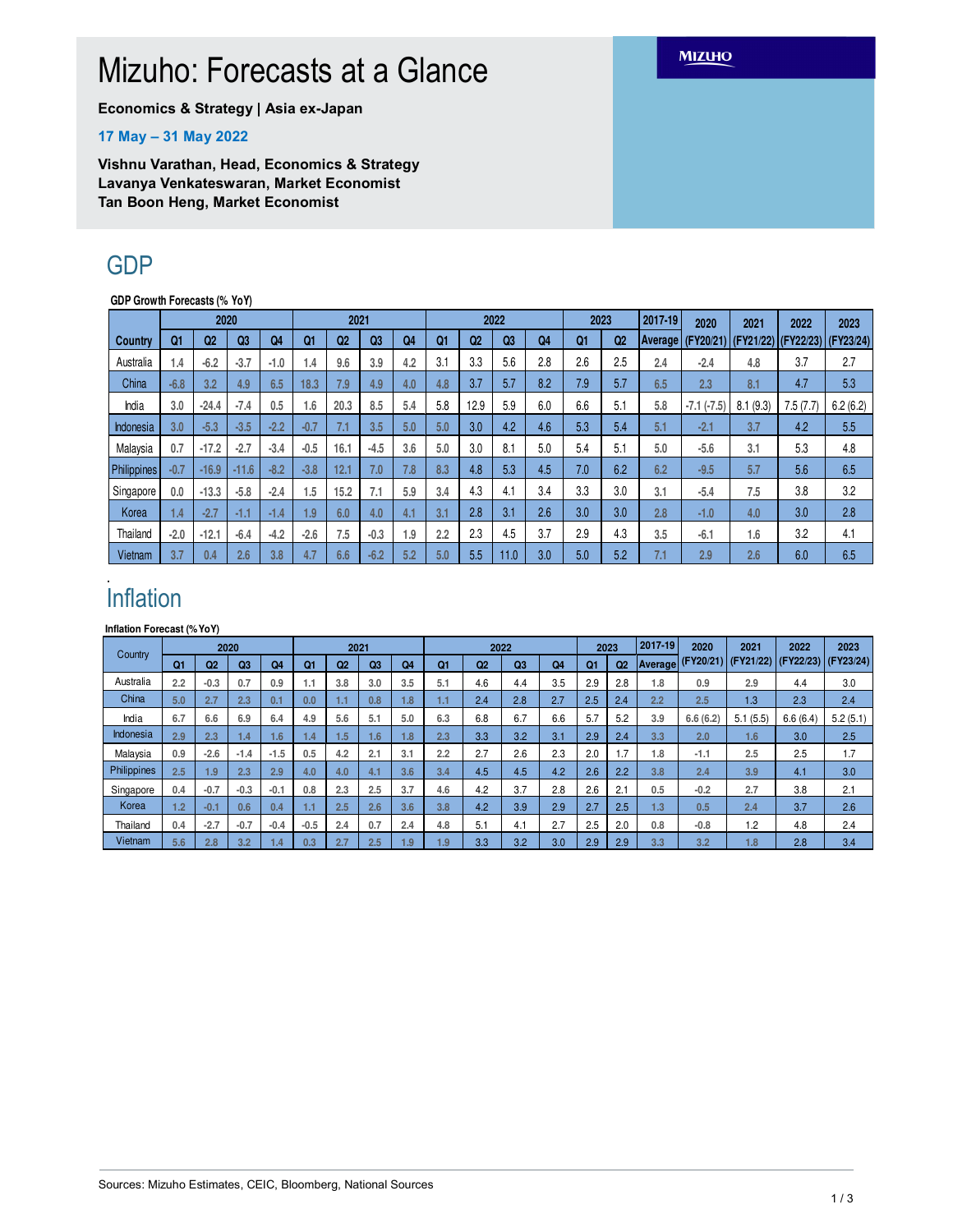# Mizuho: Forecasts at a Glance

**Economics & Strategy | Asia ex-Japan**

#### **17 May – 31 May 2022**

**Vishnu Varathan, Head, Economics & Strategy Lavanya Venkateswaran, Market Economist Tan Boon Heng, Market Economist**

## GDP

**GDP Growth Forecasts (% YoY)**

|                | 2020           |         |         |        | 2021   |                  |                |                | 2022 |                |     |     | 2023 |                | 2017-19        | 2020         | 2021          | 2022      | 2023      |
|----------------|----------------|---------|---------|--------|--------|------------------|----------------|----------------|------|----------------|-----|-----|------|----------------|----------------|--------------|---------------|-----------|-----------|
| <b>Country</b> | Q <sub>1</sub> | Q2      | Q3      | Q4     | Q1     | Q <sub>2</sub>   | Q <sub>3</sub> | Q <sub>4</sub> | Q1   | Q <sub>2</sub> | Q3  | Q4  | Q1   | Q <sub>2</sub> | <b>Average</b> | (FY20/21)    | $ $ (FY21/22) | (FY22/23) | (FY23/24) |
| Australia      | 1.4            | $-6.2$  | $-3.7$  | $-1.0$ | 1.4    | 9.6              | 3.9            | 4.2            | 3.1  | 3.3            | 5.6 | 2.8 | 2.6  | 2.5            | 2.4            | $-2.4$       | 4.8           | 3.7       | 2.7       |
| China          | $-6.8$         | 3.2     | 4.9     | 6.5    | 18.3   | 7.9              | 4.9            | 4.0            | 4.8  | 3.7            | 5.7 | 8.2 | 7.9  | 5.7            | 6.5            | 2.3          | 8.1           | 4.7       | 5.3       |
| India          | 3.0            | $-24.4$ | $-7.4$  | 0.5    | 1.6    | 20.3             | 8.5            | 5.4            | 5.8  | 12.9           | 5.9 | 6.0 | 6.6  | 5.1            | 5.8            | $-7.1(-7.5)$ | (9.3)<br>8.1  | 7.5(7.7)  | 6.2(6.2)  |
| Indonesia      | 3.0            | $-5.3$  | $-3.5$  | $-2.2$ | $-0.7$ | $\mathfrak{c}$ . | 3.5            | 5.0            | 5.0  | 3.0            | 4.2 | 4.6 | 5.3  | 5.4            | 5.1            | $-2.1$       | 3.7           | 4.2       | 5.5       |
| Malaysia       | 0.7            | $-17.2$ | $-2.7$  | $-3.4$ | $-0.5$ | 16.1             | $-4.5$         | 3.6            | 5.0  | 3.0            | 8.1 | 5.0 | 5.4  | 5.1            | 5.0            | $-5.6$       | 3.1           | 5.3       | 4.8       |
| Philippines    | $-0.7$         | $-16.9$ | $-11.6$ | $-8.2$ | $-3.8$ | 12.1             | 7.0            | 7.8            | 8.3  | 4.8            | 5.3 | 4.5 | 7.0  | 6.2            | 6.2            | $-9.5$       | 5.7           | 5.6       | 6.5       |
| Singapore      | 0.0            | $-13.3$ | $-5.8$  | $-2.4$ | 1.5    | 15.2             | 7.1            | 5.9            | 3.4  | 4.3            | 4.1 | 3.4 | 3.3  | 3.0            | 3.1            | $-5.4$       | 7.5           | 3.8       | 3.2       |
| Korea          | 1.4            | $-2.7$  | -1.1    | $-1.4$ | 1.9    | 6.0              | 4.0            | 4.1            | 3.1  | 2.8            | 3.1 | 2.6 | 3.0  | 3.0            | 2.8            | $-1.0$       | 4.0           | 3.0       | 2.8       |
| Thailand       | $-2.0$         | $-12.1$ | $-6.4$  | $-4.2$ | $-2.6$ | 7.5              | $-0.3$         | 1.9            | 2.2  | 2.3            | 4.5 | 3.7 | 2.9  | 4.3            | 3.5            | $-6.1$       | 1.6           | 3.2       | 4.1       |
| Vietnam        | 3.7            | 0.4     | 2.6     | 3.8    | 4.7    | 6.6              | $-6.2$         | 5.2            | 5.0  | 5.5            | 1.0 | 3.0 | 5.0  | 5.2            | 7.1            | 2.9          | 2.6           | 6.0       | 6.5       |

### . Inflation

**Inflation Forecast (%YoY)**

| Country     | 2020           |        |                |                 | 2021   |                |                  | 2022           |     |                |     | 2023 |     | 2017-19        | 2020 | 2021               | 2022      | 2023      |           |
|-------------|----------------|--------|----------------|-----------------|--------|----------------|------------------|----------------|-----|----------------|-----|------|-----|----------------|------|--------------------|-----------|-----------|-----------|
|             | Q <sub>1</sub> | Q2     | Q <sub>3</sub> | Q4              | Q1     | Q <sub>2</sub> | Q <sub>3</sub>   | Q <sub>4</sub> | Q1  | Q <sub>2</sub> | Q3  | Q4   | Q1  | Q <sub>2</sub> |      | (Average (FY20/21) | (FY21/22) | (FY22/23) | (FY23/24) |
| Australia   | 2.2            | $-0.3$ | 0.7            | 0.9             | 1.1    | 3.8            | 3.0              | 3.5            | 5.1 | 4.6            | 4.4 | 3.5  | 2.9 | 2.8            | 1.8  | 0.9                | 2.9       | 4.4       | 3.0       |
| China       | 5.0            | 2.7    | 2.3            | 0.1             | 0.0    | 1.1            | 0.8 <sup>°</sup> | 1.8            | 1.1 | 2.4            | 2.8 | 2.7  | 2.5 | 2.4            | 2.2  | 2.5                | 1.3       | 2.3       | 2.4       |
| India       | 6.7            | 6.6    | 6.9            | 6.4             | 4.9    | 5.6            | 5.1              | 5.0            | 6.3 | 6.8            | 6.7 | 6.6  | 5.7 | 5.2            | 3.9  | 6.6(6.2)           | 5.1(5.5)  | 6.6(6.4)  | 5.2(5.1)  |
| Indonesia   | 2.9            | 2.3    | 1.4            | .6 <sub>1</sub> | 1.4    | 1.5            | 1.6              | 1.8            | 2.3 | 3.3            | 3.2 | 3.1  | 2.9 | 2.4            | 3.3  | 2.0                | 1.6       | 3.0       | 2.5       |
| Malaysia    | 0.9            | $-2.6$ | $-1.4$         | $-1.5$          | 0.5    | 4.2            | 2.1              | 3.1            | 2.2 | 2.7            | 2.6 | 2.3  | 2.0 | 1.7            | 1.8  | $-1.1$             | 2.5       | 2.5       | 1.7       |
| Philippines | 2.5            | 1.9    | 2.3            | 2.9             | 4.0    | 4.0            | 4.1              | 3.6            | 3.4 | 4.5            | 4.5 | 4.2  | 2.6 | 2.2            | 3.8  | 2.4                | 3.9       | 4.1       | 3.0       |
| Singapore   | 0.4            | $-0.7$ | $-0.3$         | $-0.1$          | 0.8    | 2.3            | 2.5              | 3.7            | 4.6 | 4.2            | 3.7 | 2.8  | 2.6 | 2.1            | 0.5  | $-0.2$             | 2.7       | 3.8       | 2.1       |
| Korea       | 1.2            | $-0.1$ | 0.6            | 0.4             | Ы      | 2.5            | 2.6              | 3.6            | 3.8 | 4.2            | 3.9 | 2.9  | 2.7 | 2.5            | 1.3  | 0.5                | 2.4       | 3.7       | 2.6       |
| Thailand    | 0.4            | $-2.7$ | $-0.7$         | $-0.4$          | $-0.5$ | 2.4            | 0.7              | 2.4            | 4.8 | 5.1            | 4.1 | 2.7  | 2.5 | 2.0            | 0.8  | $-0.8$             | 1.2       | 4.8       | 2.4       |
| Vietnam     | 5.6            | 2.8    | 3.2            | 1.4             | 0.3    | 2.7            | 2.5              | 1.9            | 1.9 | 3.3            | 3.2 | 3.0  | 2.9 | 2.9            | 3.3  | 3.2                | 1.8       | 2.8       | 3.4       |

### **MIZUHO**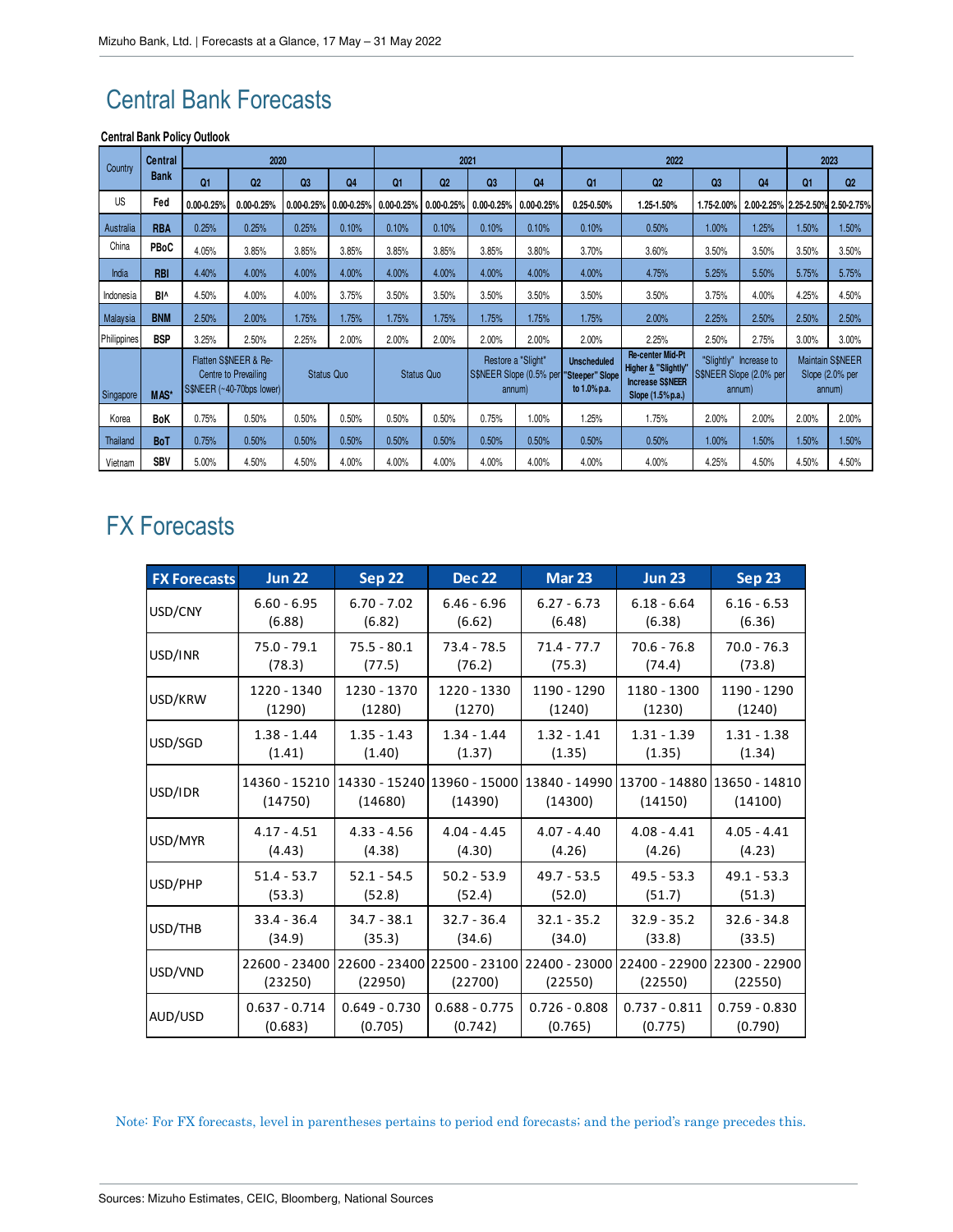# Central Bank Forecasts

#### **Central Bank Policy Outlook**

| Country     | <b>Central</b><br><b>Bank</b> |                                                                            | 2020           |                   |            |                   |                | 2021                                                    |                |                                                             | 2023                                                                                           |                |                                                             |       |                                                      |
|-------------|-------------------------------|----------------------------------------------------------------------------|----------------|-------------------|------------|-------------------|----------------|---------------------------------------------------------|----------------|-------------------------------------------------------------|------------------------------------------------------------------------------------------------|----------------|-------------------------------------------------------------|-------|------------------------------------------------------|
|             |                               | Q1                                                                         | Q2             | Q3                | Q4         | Q1                | Q2             | Q <sub>3</sub>                                          | Q <sub>4</sub> | Q1                                                          | Q <sub>2</sub>                                                                                 | Q <sub>3</sub> | Q4                                                          | Q1    | Q <sub>2</sub>                                       |
| US          | Fed                           | $0.00 - 0.25%$                                                             | $0.00 - 0.25%$ | $0.00 - 0.25%$    | 0.00-0.25% | $0.00 - 0.25%$    | $0.00 - 0.25%$ | 0.00-0.25%                                              | $0.00 - 0.25%$ | $0.25 - 0.50%$                                              | 1.25-1.50%                                                                                     | 1.75-2.00%     |                                                             |       | 2.00-2.25% 2.25-2.50% 2.50-2.75%                     |
| Australia   | <b>RBA</b>                    | 0.25%                                                                      | 0.25%          | 0.25%             | 0.10%      | 0.10%             | 0.10%          | 0.10%                                                   | 0.10%          | 0.10%                                                       | 0.50%                                                                                          | 1.00%          | 1.25%                                                       | 1.50% | 1.50%                                                |
| China       | <b>PBoC</b>                   | 4.05%                                                                      | 3.85%          | 3.85%             | 3.85%      | 3.85%             | 3.85%          | 3.85%                                                   | 3.80%          | 3.70%                                                       | 3.60%                                                                                          | 3.50%          | 3.50%                                                       | 3.50% | 3.50%                                                |
| India       | <b>RBI</b>                    | 4.40%                                                                      | 4.00%          | 4.00%             | 4.00%      | 4.00%             | 4.00%          | 4.00%                                                   | 4.00%          | 4.00%                                                       | 4.75%                                                                                          | 5.25%          | 5.50%                                                       | 5.75% | 5.75%                                                |
| Indonesia   | BI^                           | 4.50%                                                                      | 4.00%          | 4.00%             | 3.75%      | 3.50%             | 3.50%          | 3.50%                                                   | 3.50%          | 3.50%                                                       | 3.50%                                                                                          | 3.75%          | 4.00%                                                       | 4.25% | 4.50%                                                |
| Malaysia    | <b>BNM</b>                    | 2.50%                                                                      | 2.00%          | 1.75%             | 1.75%      | 1.75%             | 1.75%          | 1.75%                                                   | 1.75%          | 1.75%                                                       | 2.00%                                                                                          | 2.25%          | 2.50%                                                       | 2.50% | 2.50%                                                |
| Philippines | <b>BSP</b>                    | 3.25%                                                                      | 2.50%          | 2.25%             | 2.00%      | 2.00%             | 2.00%          | 2.00%                                                   | 2.00%          | 2.00%                                                       | 2.25%                                                                                          | 2.50%          | 2.75%                                                       | 3.00% | 3.00%                                                |
| Singapore   | MAS*                          | Flatten S\$NEER & Re-<br>Centre to Prevailing<br>S\$NEER (~40-70bps lower) |                | <b>Status Quo</b> |            | <b>Status Quo</b> |                | Restore a "Slight"<br>S\$NEER Slope (0.5% per<br>annum) |                | <b>Unscheduled</b><br><b>Steeper" Slope</b><br>to 1.0% p.a. | <b>Re-center Mid-Pt</b><br>Higher & "Slightly'<br><b>Increase S\$NEER</b><br>Slope (1.5% p.a.) |                | "Slightly" Increase to<br>S\$NEER Slope (2.0% per<br>annum) |       | <b>Maintain S\$NEER</b><br>Slope (2.0% per<br>annum) |
| Korea       | <b>BoK</b>                    | 0.75%                                                                      | 0.50%          | 0.50%             | 0.50%      | 0.50%             | 0.50%          | 0.75%                                                   | 1.00%          | 1.25%                                                       | 1.75%                                                                                          | 2.00%          | 2.00%                                                       | 2.00% | 2.00%                                                |
| Thailand    | <b>BoT</b>                    | 0.75%                                                                      | 0.50%          | 0.50%             | 0.50%      | 0.50%             | 0.50%          | 0.50%                                                   | 0.50%          | 0.50%                                                       | 0.50%                                                                                          | 1.00%          | 1.50%                                                       | 1.50% | 1.50%                                                |
| Vietnam     | <b>SBV</b>                    | 5.00%                                                                      | 4.50%          | 4.50%             | 4.00%      | 4.00%             | 4.00%          | 4.00%                                                   | 4.00%          | 4.00%                                                       | 4.00%                                                                                          | 4.25%          | 4.50%                                                       | 4.50% | 4.50%                                                |

# FX Forecasts

| <b>FX Forecasts</b> | <b>Jun 22</b>            | Sep 22          | <b>Dec 22</b>   | <b>Mar 23</b>                                                                       | <b>Jun 23</b>   | <b>Sep 23</b>   |
|---------------------|--------------------------|-----------------|-----------------|-------------------------------------------------------------------------------------|-----------------|-----------------|
| USD/CNY             | $6.60 - 6.95$            | $6.70 - 7.02$   | $6.46 - 6.96$   | $6.27 - 6.73$                                                                       | $6.18 - 6.64$   | $6.16 - 6.53$   |
|                     | (6.88)                   | (6.82)          | (6.62)          | (6.48)                                                                              | (6.38)          | (6.36)          |
| USD/INR             | $75.0 - 79.1$            | $75.5 - 80.1$   | $73.4 - 78.5$   | $71.4 - 77.7$                                                                       | $70.6 - 76.8$   | $70.0 - 76.3$   |
|                     | (78.3)                   | (77.5)          | (76.2)          | (75.3)                                                                              | (74.4)          | (73.8)          |
| USD/KRW             | 1220 - 1340              | 1230 - 1370     | 1220 - 1330     | 1190 - 1290                                                                         | 1180 - 1300     | 1190 - 1290     |
|                     | (1290)                   | (1280)          | (1270)          | (1240)                                                                              | (1230)          | (1240)          |
| USD/SGD             | $1.38 - 1.44$            | $1.35 - 1.43$   | $1.34 - 1.44$   | $1.32 - 1.41$                                                                       | $1.31 - 1.39$   | $1.31 - 1.38$   |
|                     | (1.41)                   | (1.40)          | (1.37)          | (1.35)                                                                              | (1.35)          | (1.34)          |
| USD/IDR             | 14360 - 15210<br>(14750) | (14680)         | (14390)         | 14330 - 15240 13960 - 15000  13840 - 14990  13700 - 14880  13650 - 14810<br>(14300) | (14150)         | (14100)         |
| USD/MYR             | $4.17 - 4.51$            | $4.33 - 4.56$   | $4.04 - 4.45$   | $4.07 - 4.40$                                                                       | $4.08 - 4.41$   | $4.05 - 4.41$   |
|                     | (4.43)                   | (4.38)          | (4.30)          | (4.26)                                                                              | (4.26)          | (4.23)          |
| USD/PHP             | $51.4 - 53.7$            | $52.1 - 54.5$   | $50.2 - 53.9$   | $49.7 - 53.5$                                                                       | $49.5 - 53.3$   | $49.1 - 53.3$   |
|                     | (53.3)                   | (52.8)          | (52.4)          | (52.0)                                                                              | (51.7)          | (51.3)          |
| USD/THB             | $33.4 - 36.4$            | $34.7 - 38.1$   | $32.7 - 36.4$   | $32.1 - 35.2$                                                                       | $32.9 - 35.2$   | $32.6 - 34.8$   |
|                     | (34.9)                   | (35.3)          | (34.6)          | (34.0)                                                                              | (33.8)          | (33.5)          |
| USD/VND             | 22600 - 23400<br>(23250) | (22950)         | (22700)         | 22600 - 23400 22500 - 23100 22400 - 23000 22400 - 22900 22300 - 22900<br>(22550)    | (22550)         | (22550)         |
| AUD/USD             | $0.637 - 0.714$          | $0.649 - 0.730$ | $0.688 - 0.775$ | $0.726 - 0.808$                                                                     | $0.737 - 0.811$ | $0.759 - 0.830$ |
|                     | (0.683)                  | (0.705)         | (0.742)         | (0.765)                                                                             | (0.775)         | (0.790)         |

Note: For FX forecasts, level in parentheses pertains to period end forecasts; and the period's range precedes this.